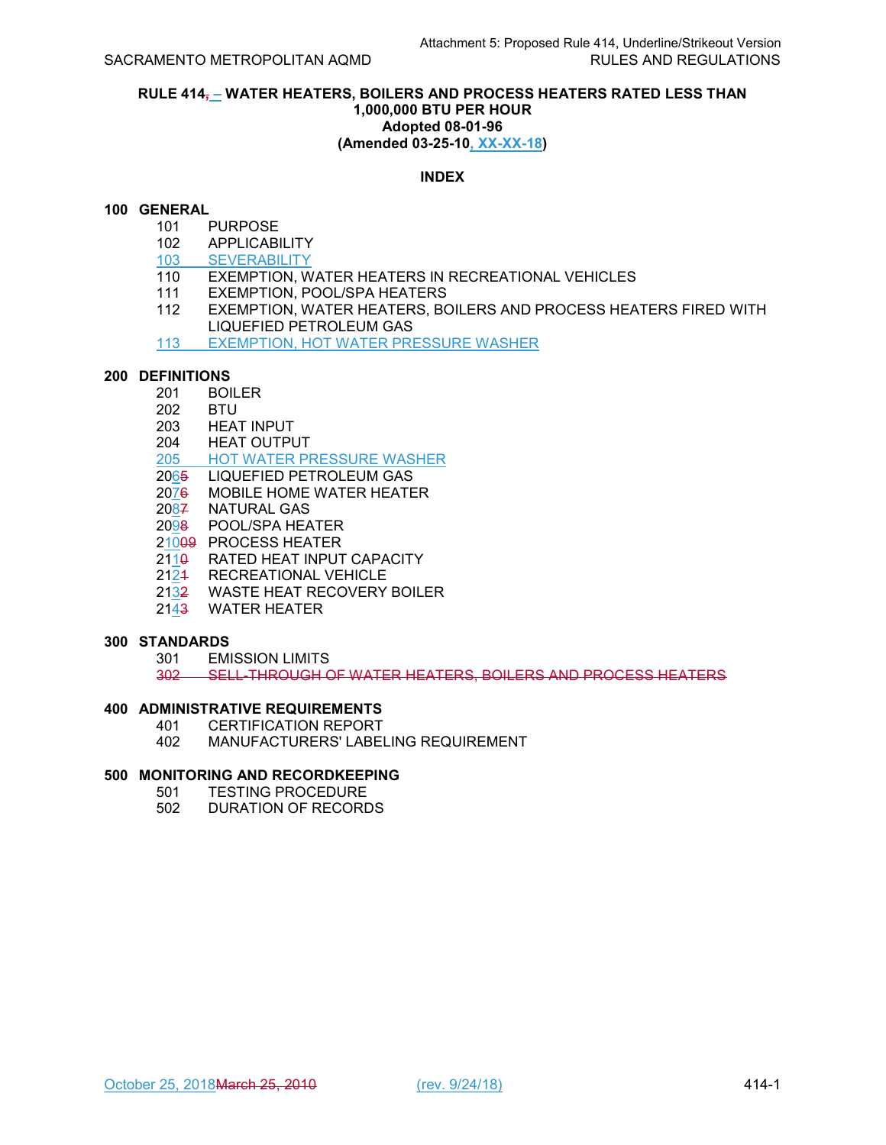## RULE 414, – WATER HEATERS, BOILERS AND PROCESS HEATERS RATED LESS THAN 1,000,000 BTU PER HOUR Adopted 08-01-96 (Amended 03-25-10, XX-XX-18)

# INDEX

## 100 GENERAL

- 101 PURPOSE
- 102 APPLICABILITY
- 103 SEVERABILITY
- 110 EXEMPTION, WATER HEATERS IN RECREATIONAL VEHICLES
- 111 EXEMPTION, POOL/SPA HEATERS
- 112 EXEMPTION, WATER HEATERS, BOILERS AND PROCESS HEATERS FIRED WITH LIQUEFIED PETROLEUM GAS
- 113 EXEMPTION, HOT WATER PRESSURE WASHER

# 200 DEFINITIONS

- 201 BOILER
- 202 BTU
- 203 HEAT INPUT
- 204 HEAT OUTPUT

205 HOT WATER PRESSURE WASHER

2065 LIQUEFIED PETROLEUM GAS

- 2076 MOBILE HOME WATER HEATER<br>2087 NATURAL GAS
- **NATURAL GAS**
- 2098 POOL/SPA HEATER
- 21009 PROCESS HEATER
- 2110 RATED HEAT INPUT CAPACITY
- 2124 RECREATIONAL VEHICLE
- 2132 WASTE HEAT RECOVERY BOILER
- 2143 WATER HEATER

# **300 STANDARDS**<br>301 EM

**EMISSION LIMITS** 

302 SELL-THROUGH OF WATER HEATERS, BOILERS AND PROCESS HEATERS

# 400 ADMINISTRATIVE REQUIREMENTS

- 401 CERTIFICATION REPORT<br>402 MANUFACTURERS' LABE
- MANUFACTURERS' LABELING REQUIREMENT

# 500 MONITORING AND RECORDKEEPING

- 501 TESTING PROCEDURE
- 502 DURATION OF RECORDS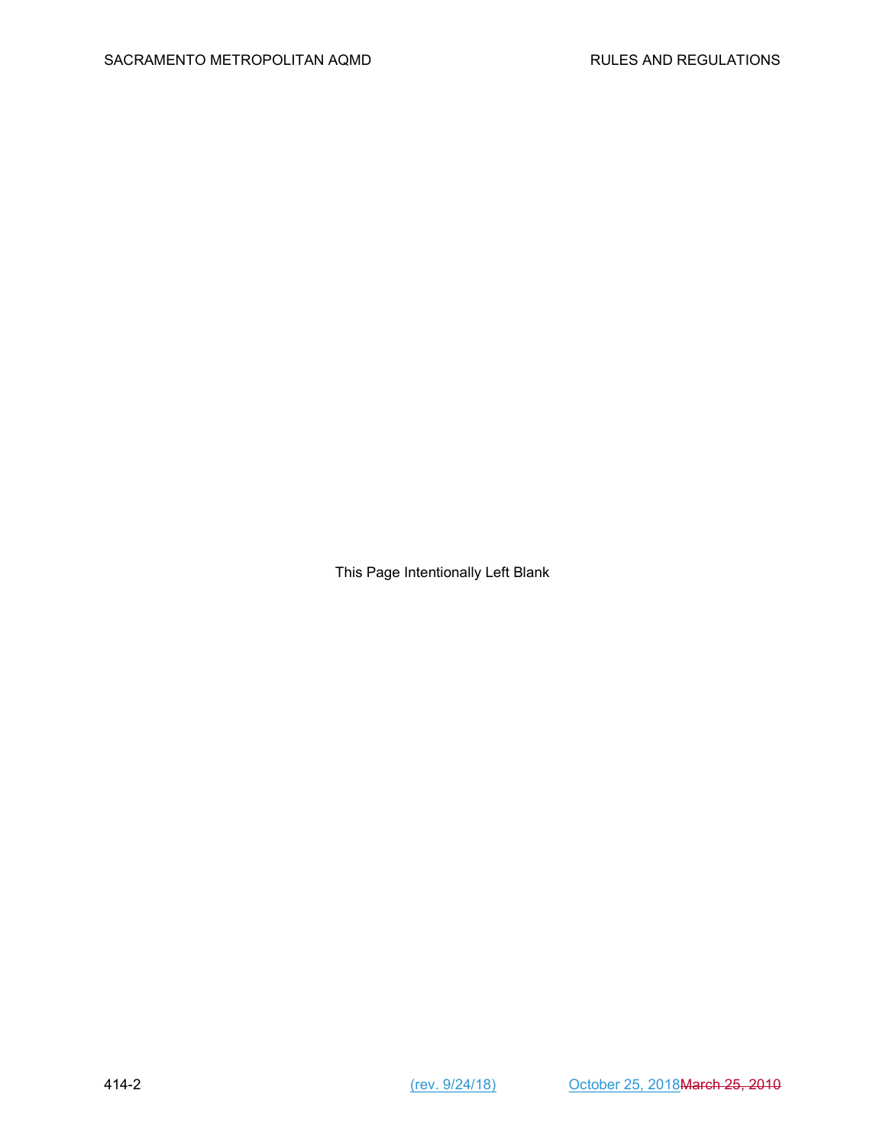This Page Intentionally Left Blank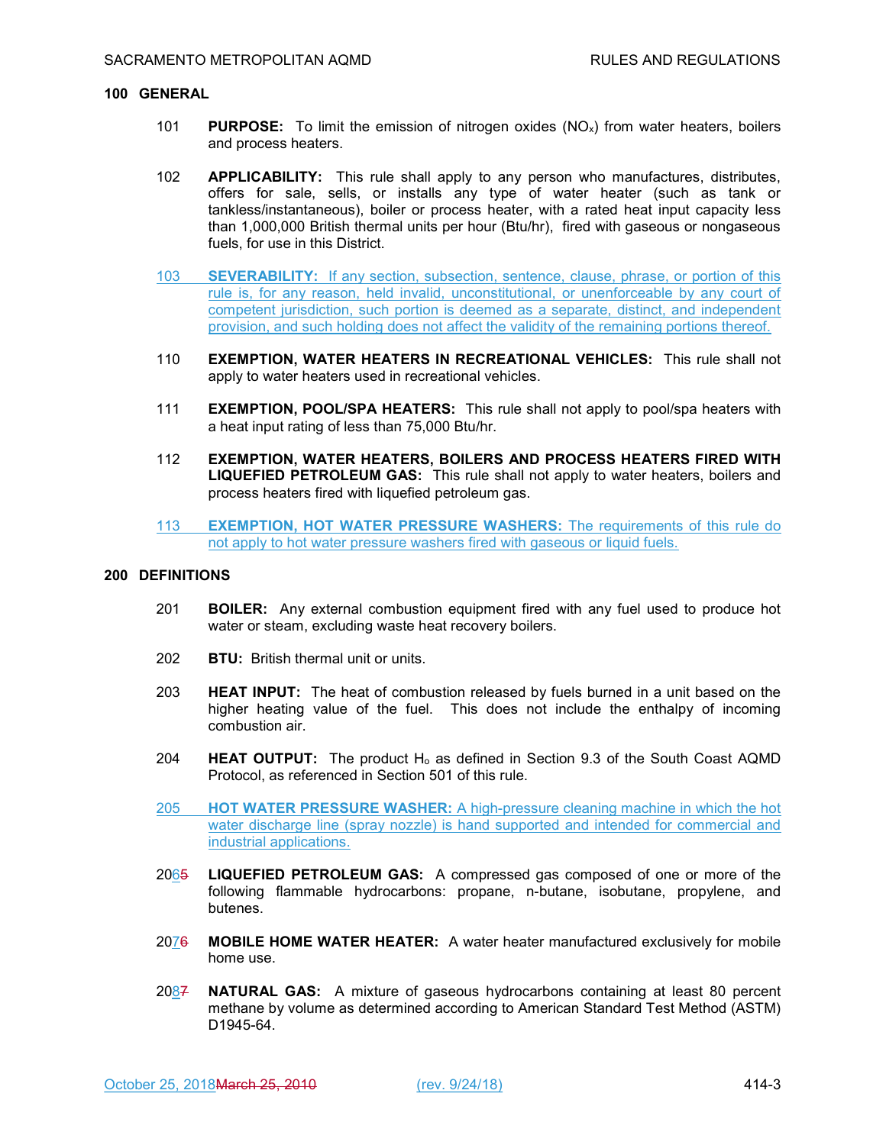#### 100 GENERAL

- 101 **PURPOSE:** To limit the emission of nitrogen oxides ( $NO<sub>x</sub>$ ) from water heaters, boilers and process heaters.
- 102 APPLICABILITY: This rule shall apply to any person who manufactures, distributes, offers for sale, sells, or installs any type of water heater (such as tank or tankless/instantaneous), boiler or process heater, with a rated heat input capacity less than 1,000,000 British thermal units per hour (Btu/hr), fired with gaseous or nongaseous fuels, for use in this District.
- 103 **SEVERABILITY:** If any section, subsection, sentence, clause, phrase, or portion of this rule is, for any reason, held invalid, unconstitutional, or unenforceable by any court of competent jurisdiction, such portion is deemed as a separate, distinct, and independent provision, and such holding does not affect the validity of the remaining portions thereof.
- 110 **EXEMPTION, WATER HEATERS IN RECREATIONAL VEHICLES:** This rule shall not apply to water heaters used in recreational vehicles.
- 111 **EXEMPTION, POOL/SPA HEATERS:** This rule shall not apply to pool/spa heaters with a heat input rating of less than 75,000 Btu/hr.
- 112 EXEMPTION, WATER HEATERS, BOILERS AND PROCESS HEATERS FIRED WITH LIQUEFIED PETROLEUM GAS: This rule shall not apply to water heaters, boilers and process heaters fired with liquefied petroleum gas.
- 113 **EXEMPTION, HOT WATER PRESSURE WASHERS:** The requirements of this rule do not apply to hot water pressure washers fired with gaseous or liquid fuels.

#### 200 DEFINITIONS

- 201 **BOILER:** Any external combustion equipment fired with any fuel used to produce hot water or steam, excluding waste heat recovery boilers.
- 202 **BTU:** British thermal unit or units.
- 203 **HEAT INPUT:** The heat of combustion released by fuels burned in a unit based on the higher heating value of the fuel. This does not include the enthalpy of incoming combustion air.
- 204 **HEAT OUTPUT:** The product  $H_0$  as defined in Section 9.3 of the South Coast AQMD Protocol, as referenced in Section 501 of this rule.
- 205 HOT WATER PRESSURE WASHER: A high-pressure cleaning machine in which the hot water discharge line (spray nozzle) is hand supported and intended for commercial and industrial applications.
- 2065 LIQUEFIED PETROLEUM GAS: A compressed gas composed of one or more of the following flammable hydrocarbons: propane, n-butane, isobutane, propylene, and butenes.
- 2076 MOBILE HOME WATER HEATER: A water heater manufactured exclusively for mobile home use.
- 2087 **NATURAL GAS:** A mixture of gaseous hydrocarbons containing at least 80 percent methane by volume as determined according to American Standard Test Method (ASTM) D1945-64.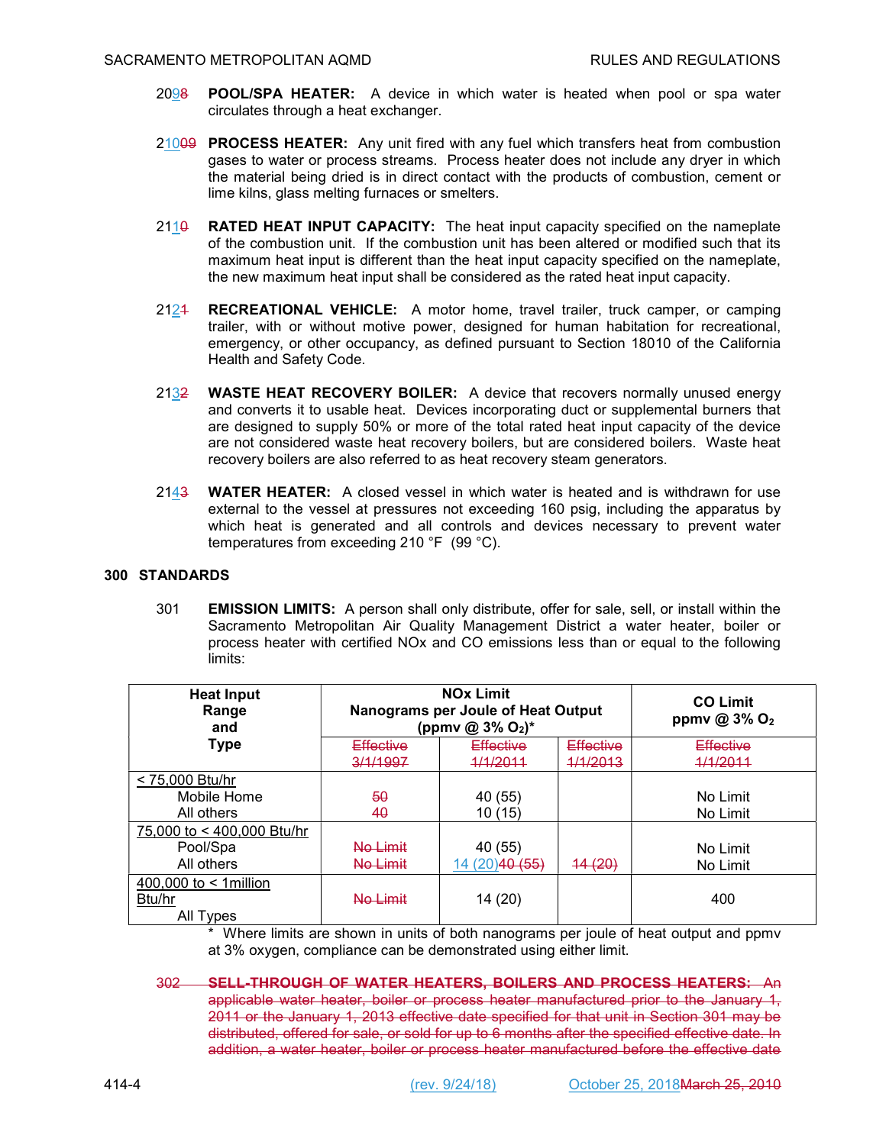- 2098 POOL/SPA HEATER: A device in which water is heated when pool or spa water circulates through a heat exchanger.
- 21009 PROCESS HEATER: Any unit fired with any fuel which transfers heat from combustion gases to water or process streams. Process heater does not include any dryer in which the material being dried is in direct contact with the products of combustion, cement or lime kilns, glass melting furnaces or smelters.
- 2110 **RATED HEAT INPUT CAPACITY:** The heat input capacity specified on the nameplate of the combustion unit. If the combustion unit has been altered or modified such that its maximum heat input is different than the heat input capacity specified on the nameplate, the new maximum heat input shall be considered as the rated heat input capacity.
- 2124 **RECREATIONAL VEHICLE:** A motor home, travel trailer, truck camper, or camping trailer, with or without motive power, designed for human habitation for recreational, emergency, or other occupancy, as defined pursuant to Section 18010 of the California Health and Safety Code.
- 2132 **WASTE HEAT RECOVERY BOILER:** A device that recovers normally unused energy and converts it to usable heat. Devices incorporating duct or supplemental burners that are designed to supply 50% or more of the total rated heat input capacity of the device are not considered waste heat recovery boilers, but are considered boilers. Waste heat recovery boilers are also referred to as heat recovery steam generators.
- 2143 **WATER HEATER:** A closed vessel in which water is heated and is withdrawn for use external to the vessel at pressures not exceeding 160 psig, including the apparatus by which heat is generated and all controls and devices necessary to prevent water temperatures from exceeding 210 °F (99 °C).

## 300 STANDARDS

301 EMISSION LIMITS: A person shall only distribute, offer for sale, sell, or install within the Sacramento Metropolitan Air Quality Management District a water heater, boiler or process heater with certified NOx and CO emissions less than or equal to the following limits:

| <b>Heat Input</b><br>Range<br>and | <b>NO<sub>x</sub></b> Limit<br>Nanograms per Joule of Heat Output<br>(ppmv @ $3\%$ O <sub>2</sub> )* |                |           | <b>CO Limit</b><br>ppmv @ $3\%$ O <sub>2</sub> |
|-----------------------------------|------------------------------------------------------------------------------------------------------|----------------|-----------|------------------------------------------------|
| Type                              | Effective                                                                                            | Effective      | Effective | <b>Effective</b>                               |
|                                   | 3/1/1997                                                                                             | 1/1/2011       | 1/1/2013  | 4/4/2014                                       |
| < 75,000 Btu/hr                   |                                                                                                      |                |           |                                                |
| Mobile Home                       | 50                                                                                                   | 40 (55)        |           | No Limit                                       |
| All others                        | 40                                                                                                   | 10(15)         |           | No Limit                                       |
| 75,000 to < 400,000 Btu/hr        |                                                                                                      |                |           |                                                |
| Pool/Spa                          | No Limit                                                                                             | 40 (55)        |           | No Limit                                       |
| All others                        | No Limit                                                                                             | 14 (20)40 (55) | 44(20)    | No Limit                                       |
| 400,000 to $\leq$ 1 million       |                                                                                                      |                |           |                                                |
| Btu/hr                            | No Limit                                                                                             | 14 (20)        |           | 400                                            |
| All Types                         |                                                                                                      |                |           |                                                |

 \* Where limits are shown in units of both nanograms per joule of heat output and ppmv at 3% oxygen, compliance can be demonstrated using either limit.

302 SELL-THROUGH OF WATER HEATERS, BOILERS AND PROCESS HEATERS: An applicable water heater, boiler or process heater manufactured prior to the January 1, 2011 or the January 1, 2013 effective date specified for that unit in Section 301 may be distributed, offered for sale, or sold for up to 6 months after the specified effective date. In addition, a water heater, boiler or process heater manufactured before the effective date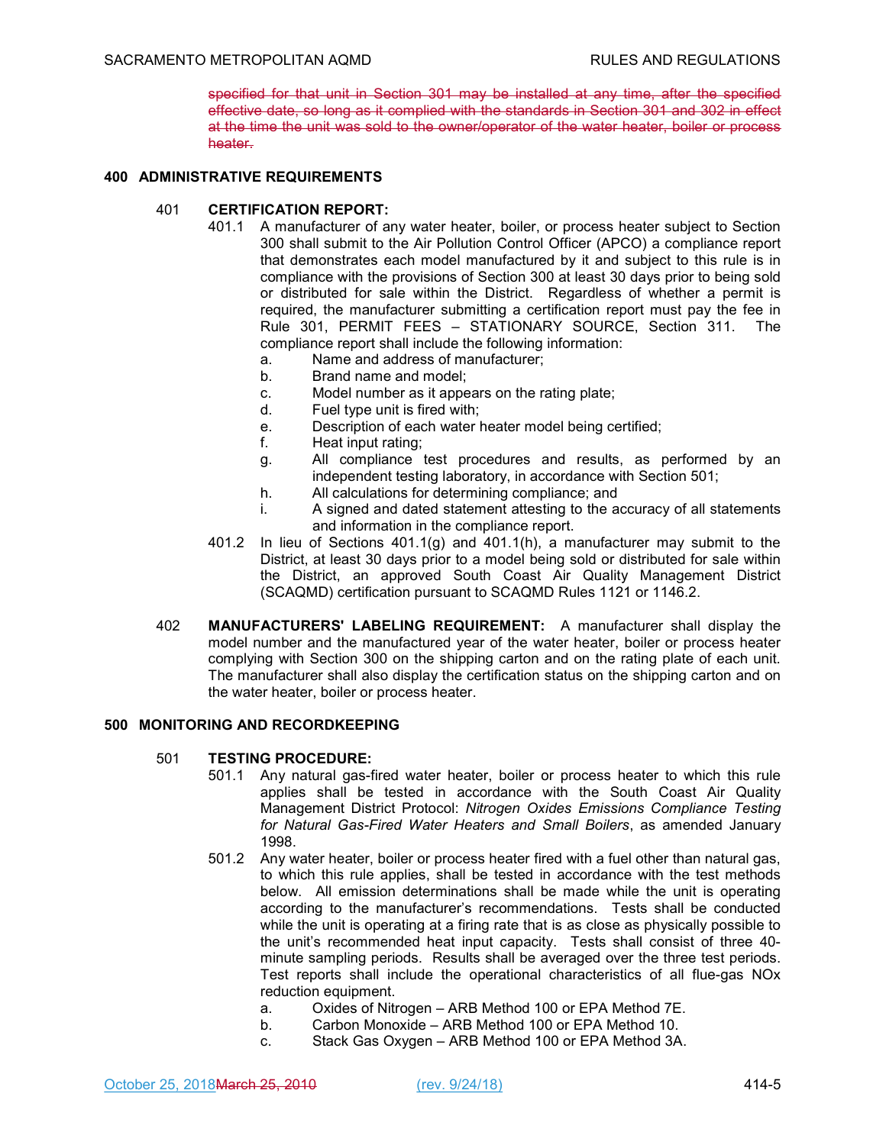specified for that unit in Section 301 may be installed at any time, after the specified effective date, so long as it complied with the standards in Section 301 and 302 in effect at the time the unit was sold to the owner/operator of the water heater, boiler or process heater.

# 400 ADMINISTRATIVE REQUIREMENTS

## 401 CERTIFICATION REPORT:

- 401.1 A manufacturer of any water heater, boiler, or process heater subject to Section 300 shall submit to the Air Pollution Control Officer (APCO) a compliance report that demonstrates each model manufactured by it and subject to this rule is in compliance with the provisions of Section 300 at least 30 days prior to being sold or distributed for sale within the District. Regardless of whether a permit is required, the manufacturer submitting a certification report must pay the fee in Rule 301, PERMIT FEES – STATIONARY SOURCE, Section 311. The compliance report shall include the following information:
	- a. Name and address of manufacturer;
	- b. Brand name and model;
	- c. Model number as it appears on the rating plate;
	- d. Fuel type unit is fired with;
	- e. Description of each water heater model being certified;
	- f. Heat input rating;
	- g. All compliance test procedures and results, as performed by an independent testing laboratory, in accordance with Section 501;
	- h. All calculations for determining compliance; and
	- i. A signed and dated statement attesting to the accuracy of all statements and information in the compliance report.
- 401.2 In lieu of Sections 401.1(g) and 401.1(h), a manufacturer may submit to the District, at least 30 days prior to a model being sold or distributed for sale within the District, an approved South Coast Air Quality Management District (SCAQMD) certification pursuant to SCAQMD Rules 1121 or 1146.2.
- 402 MANUFACTURERS' LABELING REQUIREMENT: A manufacturer shall display the model number and the manufactured year of the water heater, boiler or process heater complying with Section 300 on the shipping carton and on the rating plate of each unit. The manufacturer shall also display the certification status on the shipping carton and on the water heater, boiler or process heater.

### 500 MONITORING AND RECORDKEEPING

## 501 TESTING PROCEDURE:

- 501.1 Any natural gas-fired water heater, boiler or process heater to which this rule applies shall be tested in accordance with the South Coast Air Quality Management District Protocol: Nitrogen Oxides Emissions Compliance Testing for Natural Gas-Fired Water Heaters and Small Boilers, as amended January 1998.
- 501.2 Any water heater, boiler or process heater fired with a fuel other than natural gas, to which this rule applies, shall be tested in accordance with the test methods below. All emission determinations shall be made while the unit is operating according to the manufacturer's recommendations. Tests shall be conducted while the unit is operating at a firing rate that is as close as physically possible to the unit's recommended heat input capacity. Tests shall consist of three 40 minute sampling periods. Results shall be averaged over the three test periods. Test reports shall include the operational characteristics of all flue-gas NOx reduction equipment.
	- a. Oxides of Nitrogen ARB Method 100 or EPA Method 7E.
	- b. Carbon Monoxide ARB Method 100 or EPA Method 10.
	- c. Stack Gas Oxygen ARB Method 100 or EPA Method 3A.